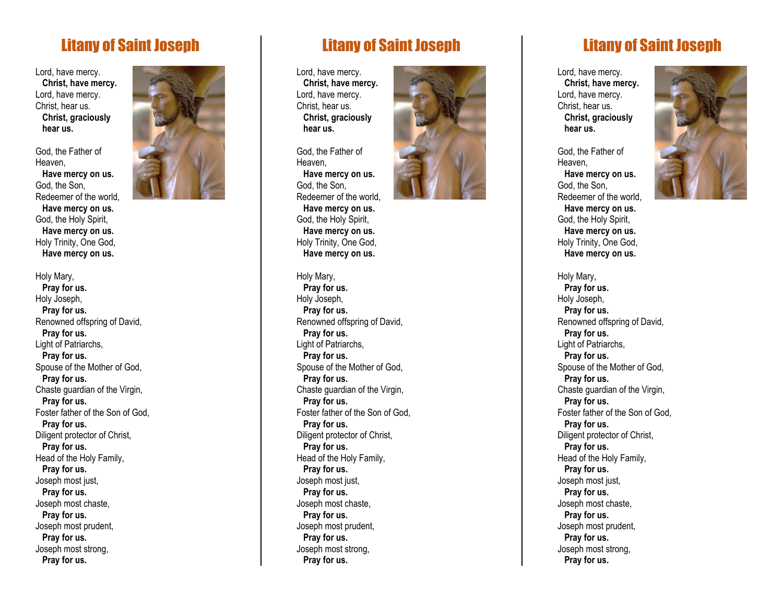## Litany of Saint Joseph

Lord, have mercy.  **Christ, have mercy.** Lord, have mercy. Christ, hear us.  **Christ, graciously hear us.**

God, the Father of Heaven,  **Have mercy on us.** God, the Son, Redeemer of the world,  **Have mercy on us.** God, the Holy Spirit,  **Have mercy on us.** Holy Trinity, One God,  **Have mercy on us.**

Holy Mary,  **Pray for us.** Holy Joseph,  **Pray for us.** Renowned offspring of David,  **Pray for us.** Light of Patriarchs,  **Pray for us.** Spouse of the Mother of God,  **Pray for us.** Chaste guardian of the Virgin,  **Pray for us.** Foster father of the Son of God,  **Pray for us.** Diligent protector of Christ,  **Pray for us.** Head of the Holy Family,  **Pray for us.** Joseph most just,  **Pray for us.** Joseph most chaste,  **Pray for us.** Joseph most prudent,  **Pray for us.** Joseph most strong,  **Pray for us.**



## Litany of Saint Joseph

Lord, have mercy.  **Christ, have mercy.** Lord, have mercy. Christ, hear us.  **Christ, graciously hear us.**

God, the Father of Heaven,  **Have mercy on us.** God, the Son, Redeemer of the world,  **Have mercy on us.** God, the Holy Spirit,  **Have mercy on us.** Holy Trinity, One God,  **Have mercy on us.**

## Holy Mary,  **Pray for us.** Holy Joseph,

 **Pray for us.** Renowned offspring of David,  **Pray for us.** Light of Patriarchs,  **Pray for us.** Spouse of the Mother of God,  **Pray for us.** Chaste guardian of the Virgin,  **Pray for us.** Foster father of the Son of God,  **Pray for us.** Diligent protector of Christ,  **Pray for us.** Head of the Holy Family,  **Pray for us.** Joseph most just,  **Pray for us.** Joseph most chaste,  **Pray for us.** Joseph most prudent,  **Pray for us.** Joseph most strong,  **Pray for us.**



## Litany of Saint Joseph

Lord, have mercy.  **Christ, have mercy.** Lord, have mercy. Christ, hear us.  **Christ, graciously hear us.**

God, the Father of Heaven,  **Have mercy on us.** God, the Son, Redeemer of the world,  **Have mercy on us.** God, the Holy Spirit,  **Have mercy on us.** Holy Trinity, One God,  **Have mercy on us.**

Holy Mary,  **Pray for us.** Holy Joseph,  **Pray for us.** Renowned offspring of David,  **Pray for us.** Light of Patriarchs,  **Pray for us.** Spouse of the Mother of God,  **Pray for us.** Chaste guardian of the Virgin,  **Pray for us.** Foster father of the Son of God,  **Pray for us.** Diligent protector of Christ,  **Pray for us.** Head of the Holy Family,  **Pray for us.** Joseph most just,  **Pray for us.** Joseph most chaste,  **Pray for us.** Joseph most prudent,  **Pray for us.** Joseph most strong,  **Pray for us.**